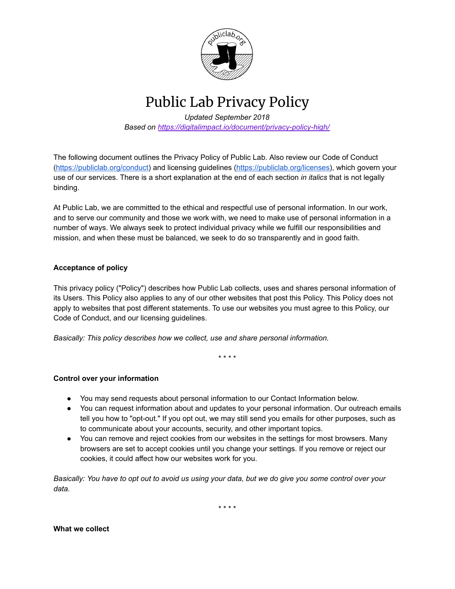

Public Lab Privacy Policy

*Updated September 2018* **Based on https://digitalimpact.io/document/privacy-policy-high/** 

The following document outlines the Privacy Policy of Public Lab. Also review our Code of Conduct [\(https://publiclab.org/conduct\)](https://publiclab.org/conduct) and licensing guidelines [\(https://publiclab.org/licenses\)](https://publiclab.org/licenses), which govern your use of our services. There is a short explanation at the end of each section *in italics* that is not legally binding.

At Public Lab, we are committed to the ethical and respectful use of personal information. In our work, and to serve our community and those we work with, we need to make use of personal information in a number of ways. We always seek to protect individual privacy while we fulfill our responsibilities and mission, and when these must be balanced, we seek to do so transparently and in good faith.

# **Acceptance of policy**

This privacy policy ("Policy") describes how Public Lab collects, uses and shares personal information of its Users. This Policy also applies to any of our other websites that post this Policy. This Policy does not apply to websites that post different statements. To use our websites you must agree to this Policy, our Code of Conduct, and our licensing guidelines.

*Basically: This policy describes how we collect, use and share personal information.*

\* \* \* \*

## **Control over your information**

- You may send requests about personal information to our Contact Information below.
- You can request information about and updates to your personal information. Our outreach emails tell you how to "opt-out." If you opt out, we may still send you emails for other purposes, such as to communicate about your accounts, security, and other important topics.
- You can remove and reject cookies from our websites in the settings for most browsers. Many browsers are set to accept cookies until you change your settings. If you remove or reject our cookies, it could affect how our websites work for you.

Basically: You have to opt out to avoid us using your data, but we do give you some control over your *data.*

\* \* \* \*

**What we collect**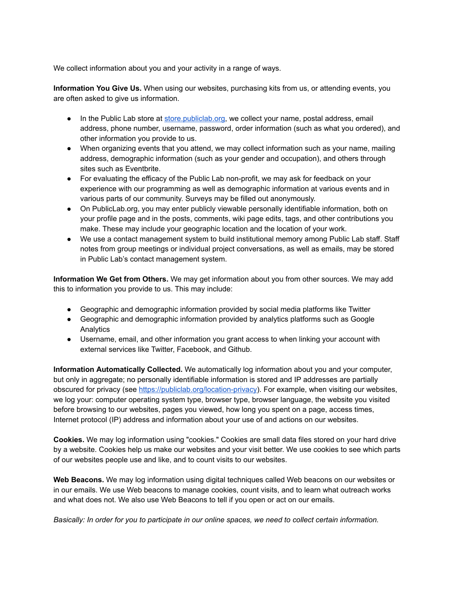We collect information about you and your activity in a range of ways.

**Information You Give Us.** When using our websites, purchasing kits from us, or attending events, you are often asked to give us information.

- In the Public Lab store at [store.publiclab.org](https://store.publiclab.org/), we collect your name, postal address, email address, phone number, username, password, order information (such as what you ordered), and other information you provide to us.
- When organizing events that you attend, we may collect information such as your name, mailing address, demographic information (such as your gender and occupation), and others through sites such as Eventbrite.
- For evaluating the efficacy of the Public Lab non-profit, we may ask for feedback on your experience with our programming as well as demographic information at various events and in various parts of our community. Surveys may be filled out anonymously.
- On PublicLab.org, you may enter publicly viewable personally identifiable information, both on your profile page and in the posts, comments, wiki page edits, tags, and other contributions you make. These may include your geographic location and the location of your work.
- We use a contact management system to build institutional memory among Public Lab staff. Staff notes from group meetings or individual project conversations, as well as emails, may be stored in Public Lab's contact management system.

**Information We Get from Others.** We may get information about you from other sources. We may add this to information you provide to us. This may include:

- Geographic and demographic information provided by social media platforms like Twitter
- Geographic and demographic information provided by analytics platforms such as Google Analytics
- Username, email, and other information you grant access to when linking your account with external services like Twitter, Facebook, and Github.

**Information Automatically Collected.** We automatically log information about you and your computer, but only in aggregate; no personally identifiable information is stored and IP addresses are partially obscured for privacy (see https://publiclab.org/location-privacy). For example, when visiting our websites, we log your: computer operating system type, browser type, browser language, the website you visited before browsing to our websites, pages you viewed, how long you spent on a page, access times, Internet protocol (IP) address and information about your use of and actions on our websites.

**Cookies.** We may log information using "cookies." Cookies are small data files stored on your hard drive by a website. Cookies help us make our websites and your visit better. We use cookies to see which parts of our websites people use and like, and to count visits to our websites.

**Web Beacons.** We may log information using digital techniques called Web beacons on our websites or in our emails. We use Web beacons to manage cookies, count visits, and to learn what outreach works and what does not. We also use Web Beacons to tell if you open or act on our emails.

*Basically: In order for you to participate in our online spaces, we need to collect certain information.*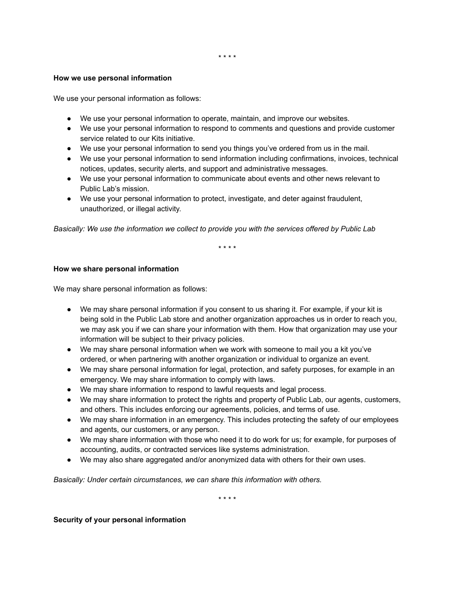#### **How we use personal information**

We use your personal information as follows:

- We use your personal information to operate, maintain, and improve our websites.
- We use your personal information to respond to comments and questions and provide customer service related to our Kits initiative.
- We use your personal information to send you things you've ordered from us in the mail.
- We use your personal information to send information including confirmations, invoices, technical notices, updates, security alerts, and support and administrative messages.
- We use your personal information to communicate about events and other news relevant to Public Lab's mission.
- We use your personal information to protect, investigate, and deter against fraudulent, unauthorized, or illegal activity.

*Basically: We use the information we collect to provide you with the services offered by Public Lab*

\* \* \* \*

#### **How we share personal information**

We may share personal information as follows:

- We may share personal information if you consent to us sharing it. For example, if your kit is being sold in the Public Lab store and another organization approaches us in order to reach you, we may ask you if we can share your information with them. How that organization may use your information will be subject to their privacy policies.
- We may share personal information when we work with someone to mail you a kit you've ordered, or when partnering with another organization or individual to organize an event.
- We may share personal information for legal, protection, and safety purposes, for example in an emergency. We may share information to comply with laws.
- We may share information to respond to lawful requests and legal process.
- We may share information to protect the rights and property of Public Lab, our agents, customers, and others. This includes enforcing our agreements, policies, and terms of use.
- We may share information in an emergency. This includes protecting the safety of our employees and agents, our customers, or any person.
- We may share information with those who need it to do work for us; for example, for purposes of accounting, audits, or contracted services like systems administration.
- We may also share aggregated and/or anonymized data with others for their own uses.

*Basically: Under certain circumstances, we can share this information with others.*

\* \* \* \*

#### **Security of your personal information**